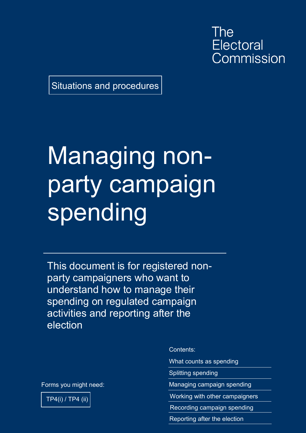The **Electoral** Commission

Situations and procedures

## Managing nonparty campaign spending

This document is for registered nonparty campaigners who want to understand how to manage their spending on regulated campaign activities and reporting after the election

Forms you might need:



Contents:

What counts as spending

Splitting spending

Managing campaign spending

Working with other campaigners

Recording campaign spending

Reporting after the election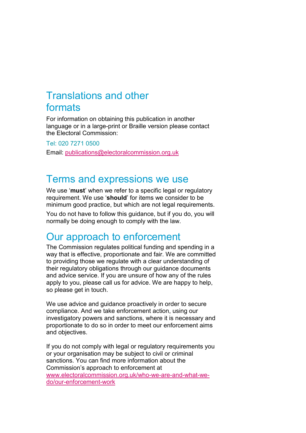### Translations and other formats

For information on obtaining this publication in another language or in a large-print or Braille version please contact the Electoral Commission:

Tel: 020 7271 0500

Email: [publications@electoralcommission.org.uk](mailto:publications@electoralcommission.org.uk)

### Terms and expressions we use

We use '**must**' when we refer to a specific legal or regulatory requirement. We use '**should**' for items we consider to be minimum good practice, but which are not legal requirements.

You do not have to follow this guidance, but if you do, you will normally be doing enough to comply with the law.

### Our approach to enforcement

The Commission regulates political funding and spending in a way that is effective, proportionate and fair. We are committed to providing those we regulate with a clear understanding of their regulatory obligations through our guidance documents and advice service. If you are unsure of how any of the rules apply to you, please call us for advice. We are happy to help, so please get in touch.

We use advice and guidance proactively in order to secure compliance. And we take enforcement action, using our investigatory powers and sanctions, where it is necessary and proportionate to do so in order to meet our enforcement aims and objectives.

If you do not comply with legal or regulatory requirements you or your organisation may be subject to civil or criminal sanctions. You can find more information about the Commission's approach to enforcement at [www.electoralcommission.org.uk/who-we-are-and-what-we](https://www.electoralcommission.org.uk/who-we-are-and-what-we-do/our-enforcement-work)[do/our-enforcement-work](https://www.electoralcommission.org.uk/who-we-are-and-what-we-do/our-enforcement-work)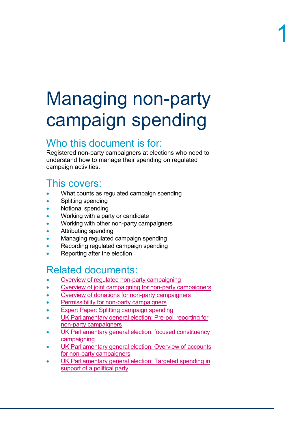## Managing non-party campaign spending

### Who this document is for:

Registered non-party campaigners at elections who need to understand how to manage their spending on regulated campaign activities.

### This covers:

- What counts as regulated campaign spending
- Splitting spending
- Notional spending
- Working with a party or candidate
- Working with other non-party campaigners
- Attributing spending
- Managing regulated campaign spending
- Recording regulated campaign spending
- Reporting after the election

### Related documents:

- [Overview of regulated non-party campaigning](https://www.electoralcommission.org.uk/media/4090)
- Overview of joint campaigning for [non-party campaigners](https://www.electoralcommission.org.uk/media/4032)
- [Overview of donations for](https://www.electoralcommission.org.uk/media/3985) non-party campaigners
- [Permissibility for non-party campaigners](https://www.electoralcommission.org.uk/media/3970)
- **[Expert Paper: Splitting campaign spending](https://www.electoralcommission.org.uk/media/2916)**
- [UK Parliamentary general election: Pre-poll reporting](https://www.electoralcommission.org.uk/media/6626) for [non-party campaigners](https://www.electoralcommission.org.uk/media/6626)
- UK Parliamentary general election: focused constituency [campaigning](https://www.electoralcommission.org.uk/media/2863)
- UK Parliamentary general election: Overview of accounts [for non-party campaigners](https://www.electoralcommission.org.uk/media/2793)
- [UK Parliamentary general election: Targeted](https://www.electoralcommission.org.uk/media/3974) spending in [support of a political party](https://www.electoralcommission.org.uk/media/3974)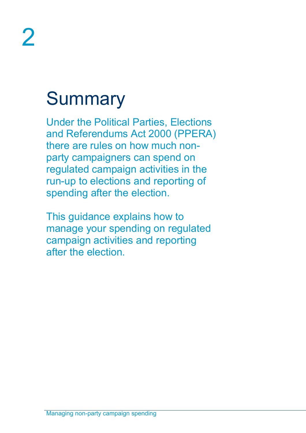## **Summary**

Under the Political Parties, Elections and Referendums Act 2000 (PPERA) there are rules on how much nonparty campaigners can spend on regulated campaign activities in the run-up to elections and reporting of spending after the election.

This guidance explains how to manage your spending on regulated campaign activities and reporting after the election.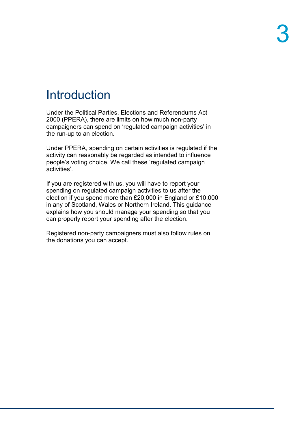### **Introduction**

Under the Political Parties, Elections and Referendums Act 2000 (PPERA), there are limits on how much non-party campaigners can spend on 'regulated campaign activities' in the run-up to an election.

Under PPERA, spending on certain activities is regulated if the activity can reasonably be regarded as intended to influence people's voting choice. We call these 'regulated campaign activities'.

If you are registered with us, you will have to report your spending on regulated campaign activities to us after the election if you spend more than £20,000 in England or £10,000 in any of Scotland, Wales or Northern Ireland. This guidance explains how you should manage your spending so that you can properly report your spending after the election.

Registered non-party campaigners must also follow rules on the donations you can accept.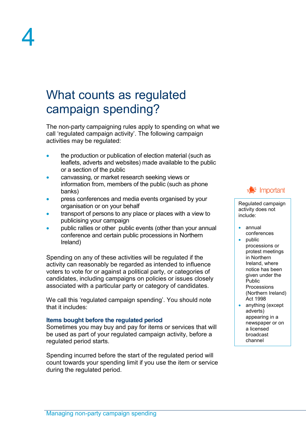### What counts as regulated campaign spending?

The non-party campaigning rules apply to spending on what we call 'regulated campaign activity'. The following campaign activities may be regulated:

- the production or publication of election material (such as leaflets, adverts and websites) made available to the public or a section of the public
- canvassing, or market research seeking views or information from, members of the public (such as phone banks)
- press conferences and media events organised by your organisation or on your behalf
- transport of persons to any place or places with a view to publicising your campaign
- public rallies or other public events (other than your annual conference and certain public processions in Northern Ireland)

Spending on any of these activities will be regulated if the activity can reasonably be regarded as intended to influence voters to vote for or against a political party, or categories of candidates, including campaigns on policies or issues closely associated with a particular party or category of candidates.

We call this 'regulated campaign spending'. You should note that it includes:

### **Items bought before the regulated period**

Sometimes you may buy and pay for items or services that will be used as part of your regulated campaign activity, before a regulated period starts.

Spending incurred before the start of the regulated period will count towards your spending limit if you use the item or service during the regulated period.



Regulated campaign activity does not include:

- annual conferences
- public processions or protest meetings in Northern Ireland, where notice has been given under the Public Processions (Northern Ireland) Act 1998
- anything (except adverts) appearing in a newspaper or on a licensed broadcast channel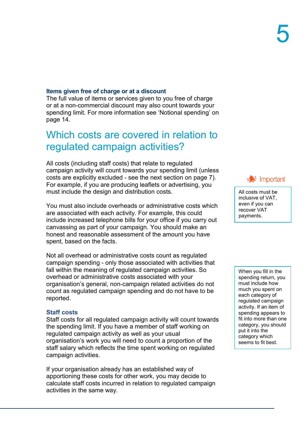#### **Items given free of charge or at a discount**

The full value of items or services given to you free of charge or at a non-commercial discount may also count towards your spending limit. For more information see 'Notional spending' on page 14.

### Which costs are covered in relation to regulated campaign activities?

All costs (including staff costs) that relate to regulated campaign activity will count towards your spending limit (unless costs are explicitly excluded - see the next section on page 7). For example, if you are producing leaflets or advertising, you must include the design and distribution costs.

You must also include overheads or administrative costs which are associated with each activity. For example, this could include increased telephone bills for your office if you carry out canvassing as part of your campaign. You should make an honest and reasonable assessment of the amount you have spent, based on the facts.

Not all overhead or administrative costs count as regulated campaign spending - only those associated with activities that fall within the meaning of regulated campaign activities. So overhead or administrative costs associated with your organisation's general, non-campaign related activities do not count as regulated campaign spending and do not have to be reported.

#### **Staff costs**

Staff costs for all regulated campaign activity will count towards the spending limit. If you have a member of staff working on regulated campaign activity as well as your usual organisation's work you will need to count a proportion of the staff salary which reflects the time spent working on regulated campaign activities.

If your organisation already has an established way of apportioning these costs for other work, you may decide to calculate staff costs incurred in relation to regulated campaign activities in the same way.

 $\blacktriangleright$  Important

All costs must be inclusive of VAT, even if you can recover VAT payments.

When you fill in the spending return, you must include how much you spent on each category of regulated campaign activity. If an item of spending appears to fit into more than one category, you should put it into the category which seems to fit best.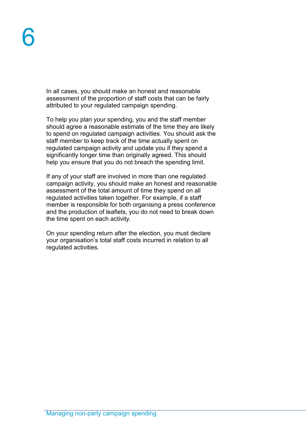In all cases, you should make an honest and reasonable assessment of the proportion of staff costs that can be fairly attributed to your regulated campaign spending.

To help you plan your spending, you and the staff member should agree a reasonable estimate of the time they are likely to spend on regulated campaign activities. You should ask the staff member to keep track of the time actually spent on regulated campaign activity and update you if they spend a significantly longer time than originally agreed. This should help you ensure that you do not breach the spending limit.

If any of your staff are involved in more than one regulated campaign activity, you should make an honest and reasonable assessment of the total amount of time they spend on all regulated activities taken together. For example, if a staff member is responsible for both organising a press conference and the production of leaflets, you do not need to break down the time spent on each activity.

On your spending return after the election, you must declare your organisation's total staff costs incurred in relation to all regulated activities.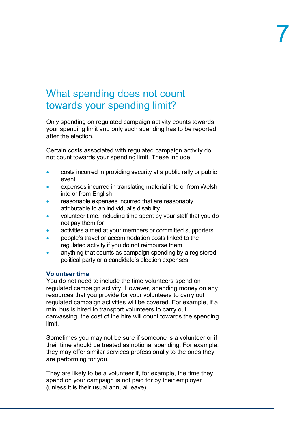### What spending does not count towards your spending limit?

Only spending on regulated campaign activity counts towards your spending limit and only such spending has to be reported after the election.

Certain costs associated with regulated campaign activity do not count towards your spending limit. These include:

- costs incurred in providing security at a public rally or public event
- expenses incurred in translating material into or from Welsh into or from English
- reasonable expenses incurred that are reasonably attributable to an individual's disability
- volunteer time, including time spent by your staff that you do not pay them for
- activities aimed at your members or committed supporters
- people's travel or accommodation costs linked to the regulated activity if you do not reimburse them
- anything that counts as campaign spending by a registered political party or a candidate's election expenses

### **Volunteer time**

You do not need to include the time volunteers spend on regulated campaign activity. However, spending money on any resources that you provide for your volunteers to carry out regulated campaign activities will be covered. For example, if a mini bus is hired to transport volunteers to carry out canvassing, the cost of the hire will count towards the spending limit.

Sometimes you may not be sure if someone is a volunteer or if their time should be treated as notional spending. For example, they may offer similar services professionally to the ones they are performing for you.

They are likely to be a volunteer if, for example, the time they spend on your campaign is not paid for by their employer (unless it is their usual annual leave).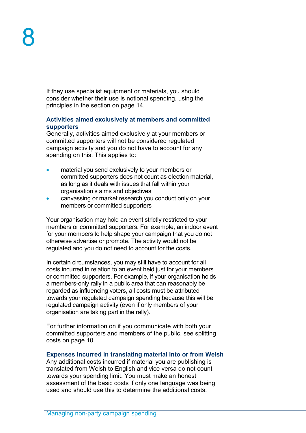If they use specialist equipment or materials, you should consider whether their use is notional spending, using the principles in the section on page 14.

#### **Activities aimed exclusively at members and committed supporters**

Generally, activities aimed exclusively at your members or committed supporters will not be considered regulated campaign activity and you do not have to account for any spending on this. This applies to:

- material you send exclusively to your members or committed supporters does not count as election material, as long as it deals with issues that fall within your organisation's aims and objectives
- canvassing or market research you conduct only on your members or committed supporters

Your organisation may hold an event strictly restricted to your members or committed supporters. For example, an indoor event for your members to help shape your campaign that you do not otherwise advertise or promote. The activity would not be regulated and you do not need to account for the costs.

In certain circumstances, you may still have to account for all costs incurred in relation to an event held just for your members or committed supporters. For example, if your organisation holds a members-only rally in a public area that can reasonably be regarded as influencing voters, all costs must be attributed towards your regulated campaign spending because this will be regulated campaign activity (even if only members of your organisation are taking part in the rally).

For further information on if you communicate with both your committed supporters and members of the public, see splitting costs on page 10.

#### **Expenses incurred in translating material into or from Welsh**

Any additional costs incurred if material you are publishing is translated from Welsh to English and vice versa do not count towards your spending limit. You must make an honest assessment of the basic costs if only one language was being used and should use this to determine the additional costs.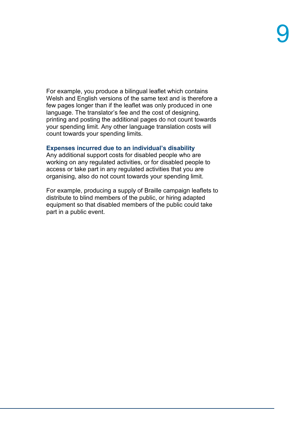For example, you produce a bilingual leaflet which contains Welsh and English versions of the same text and is therefore a few pages longer than if the leaflet was only produced in one language. The translator's fee and the cost of designing, printing and posting the additional pages do not count towards your spending limit. Any other language translation costs will count towards your spending limits.

#### **Expenses incurred due to an individual's disability**

Any additional support costs for disabled people who are working on any regulated activities, or for disabled people to access or take part in any regulated activities that you are organising, also do not count towards your spending limit.

For example, producing a supply of Braille campaign leaflets to distribute to blind members of the public, or hiring adapted equipment so that disabled members of the public could take part in a public event.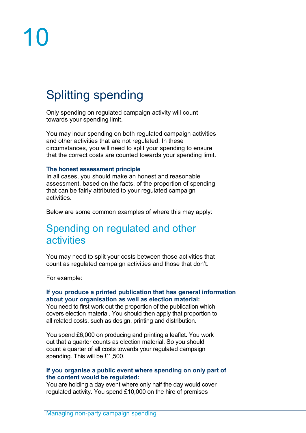# 10

### Splitting spending

Only spending on regulated campaign activity will count towards your spending limit.

You may incur spending on both regulated campaign activities and other activities that are not regulated. In these circumstances, you will need to split your spending to ensure that the correct costs are counted towards your spending limit.

#### **The honest assessment principle**

In all cases, you should make an honest and reasonable assessment, based on the facts, of the proportion of spending that can be fairly attributed to your regulated campaign activities.

Below are some common examples of where this may apply:

### Spending on regulated and other activities

You may need to split your costs between those activities that count as regulated campaign activities and those that don't.

For example:

### **If you produce a printed publication that has general information about your organisation as well as election material:**

You need to first work out the proportion of the publication which covers election material. You should then apply that proportion to all related costs, such as design, printing and distribution.

You spend £6,000 on producing and printing a leaflet. You work out that a quarter counts as election material. So you should count a quarter of all costs towards your regulated campaign spending. This will be £1,500.

#### **If you organise a public event where spending on only part of the content would be regulated:**

You are holding a day event where only half the day would cover regulated activity. You spend £10,000 on the hire of premises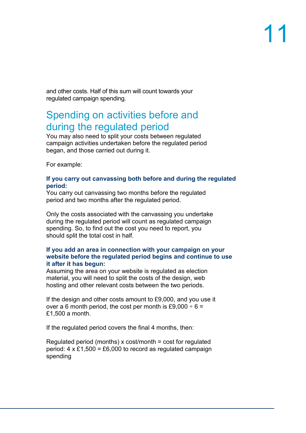and other costs. Half of this sum will count towards your regulated campaign spending.

### Spending on activities before and during the regulated period

You may also need to split your costs between regulated campaign activities undertaken before the regulated period began, and those carried out during it.

For example:

#### **If you carry out canvassing both before and during the regulated period:**

You carry out canvassing two months before the regulated period and two months after the regulated period.

Only the costs associated with the canvassing you undertake during the regulated period will count as regulated campaign spending. So, to find out the cost you need to report, you should split the total cost in half.

### **If you add an area in connection with your campaign on your website before the regulated period begins and continue to use it after it has begun:**

Assuming the area on your website is regulated as election material, you will need to split the costs of the design, web hosting and other relevant costs between the two periods.

If the design and other costs amount to £9,000, and you use it over a 6 month period, the cost per month is £9,000  $\div$  6 = £1,500 a month.

If the regulated period covers the final 4 months, then:

Regulated period (months) x cost/month = cost for regulated period:  $4 \times £1,500 = £6,000$  to record as regulated campaign spending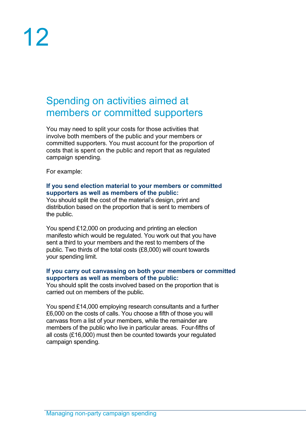### Spending on activities aimed at members or committed supporters

You may need to split your costs for those activities that involve both members of the public and your members or committed supporters. You must account for the proportion of costs that is spent on the public and report that as regulated campaign spending.

For example:

#### **If you send election material to your members or committed supporters as well as members of the public:**

You should split the cost of the material's design, print and distribution based on the proportion that is sent to members of the public.

You spend £12,000 on producing and printing an election manifesto which would be regulated. You work out that you have sent a third to your members and the rest to members of the public. Two thirds of the total costs (£8,000) will count towards your spending limit.

### **If you carry out canvassing on both your members or committed supporters as well as members of the public:**

You should split the costs involved based on the proportion that is carried out on members of the public.

You spend £14,000 employing research consultants and a further £6,000 on the costs of calls. You choose a fifth of those you will canvass from a list of your members, while the remainder are members of the public who live in particular areas. Four-fifths of all costs (£16,000) must then be counted towards your regulated campaign spending.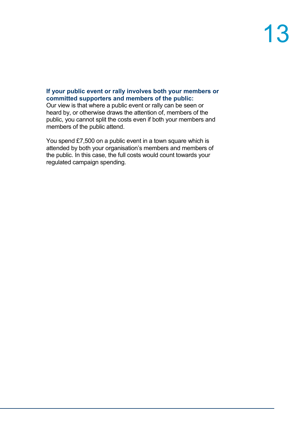### **If your public event or rally involves both your members or committed supporters and members of the public:**

Our view is that where a public event or rally can be seen or heard by, or otherwise draws the attention of, members of the public, you cannot split the costs even if both your members and members of the public attend.

You spend £7,500 on a public event in a town square which is attended by both your organisation's members and members of the public. In this case, the full costs would count towards your regulated campaign spending.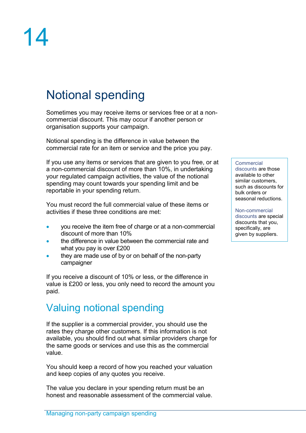# 14

### Notional spending

Sometimes you may receive items or services free or at a noncommercial discount. This may occur if another person or organisation supports your campaign.

Notional spending is the difference in value between the commercial rate for an item or service and the price you pay.

If you use any items or services that are given to you free, or at a non-commercial discount of more than 10%, in undertaking your regulated campaign activities, the value of the notional spending may count towards your spending limit and be reportable in your spending return.

You must record the full commercial value of these items or activities if these three conditions are met:

- you receive the item free of charge or at a non-commercial discount of more than 10%
- the difference in value between the commercial rate and what you pay is over £200
- they are made use of by or on behalf of the non-party campaigner

If you receive a discount of 10% or less, or the difference in value is £200 or less, you only need to record the amount you paid.

### Valuing notional spending

If the supplier is a commercial provider, you should use the rates they charge other customers. If this information is not available, you should find out what similar providers charge for the same goods or services and use this as the commercial value.

You should keep a record of how you reached your valuation and keep copies of any quotes you receive.

The value you declare in your spending return must be an honest and reasonable assessment of the commercial value.

#### **Commercial**

discounts are those available to other similar customers, such as discounts for bulk orders or seasonal reductions.

Non-commercial discounts are special discounts that you, specifically, are given by suppliers.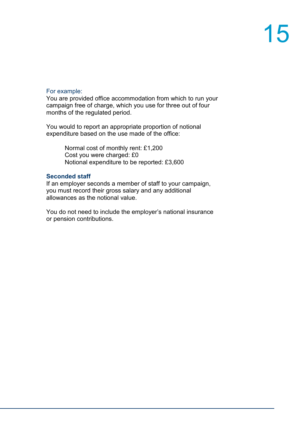#### For example:

You are provided office accommodation from which to run your campaign free of charge, which you use for three out of four months of the regulated period.

You would to report an appropriate proportion of notional expenditure based on the use made of the office:

> Normal cost of monthly rent: £1,200 Cost you were charged: £0 Notional expenditure to be reported: £3,600

#### **Seconded staff**

If an employer seconds a member of staff to your campaign, you must record their gross salary and any additional allowances as the notional value.

You do not need to include the employer's national insurance or pension contributions.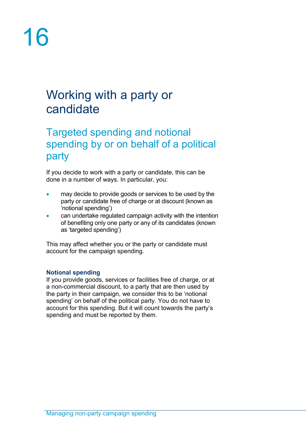# 16

### Working with a party or candidate

### Targeted spending and notional spending by or on behalf of a political party

If you decide to work with a party or candidate, this can be done in a number of ways. In particular, you:

- may decide to provide goods or services to be used by the party or candidate free of charge or at discount (known as 'notional spending')
- can undertake regulated campaign activity with the intention of benefiting only one party or any of its candidates (known as 'targeted spending')

This may affect whether you or the party or candidate must account for the campaign spending.

### **Notional spending**

If you provide goods, services or facilities free of charge, or at a non-commercial discount, to a party that are then used by the party in their campaign, we consider this to be 'notional spending' on behalf of the political party. You do not have to account for this spending. But it will count towards the party's spending and must be reported by them.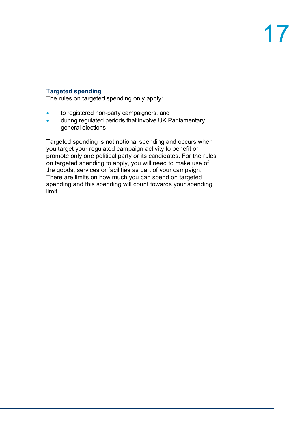### **Targeted spending**

The rules on targeted spending only apply:

- to registered non-party campaigners, and
- during regulated periods that involve UK Parliamentary general elections

Targeted spending is not notional spending and occurs when you target your regulated campaign activity to benefit or promote only one political party or its candidates. For the rules on targeted spending to apply, you will need to make use of the goods, services or facilities as part of your campaign. There are limits on how much you can spend on targeted spending and this spending will count towards your spending limit.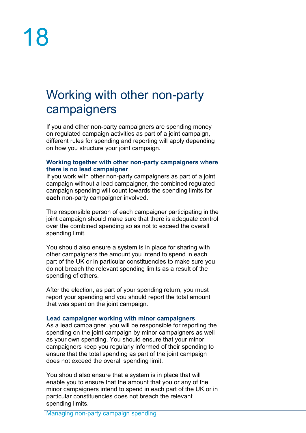### Working with other non-party campaigners

If you and other non-party campaigners are spending money on regulated campaign activities as part of a joint campaign, different rules for spending and reporting will apply depending on how you structure your joint campaign.

#### **Working together with other non-party campaigners where there is no lead campaigner**

If you work with other non-party campaigners as part of a joint campaign without a lead campaigner, the combined regulated campaign spending will count towards the spending limits for **each** non-party campaigner involved.

The responsible person of each campaigner participating in the joint campaign should make sure that there is adequate control over the combined spending so as not to exceed the overall spending limit.

You should also ensure a system is in place for sharing with other campaigners the amount you intend to spend in each part of the UK or in particular constituencies to make sure you do not breach the relevant spending limits as a result of the spending of others.

After the election, as part of your spending return, you must report your spending and you should report the total amount that was spent on the joint campaign.

#### **Lead campaigner working with minor campaigners**

As a lead campaigner, you will be responsible for reporting the spending on the joint campaign by minor campaigners as well as your own spending. You should ensure that your minor campaigners keep you regularly informed of their spending to ensure that the total spending as part of the joint campaign does not exceed the overall spending limit.

You should also ensure that a system is in place that will enable you to ensure that the amount that you or any of the minor campaigners intend to spend in each part of the UK or in particular constituencies does not breach the relevant spending limits.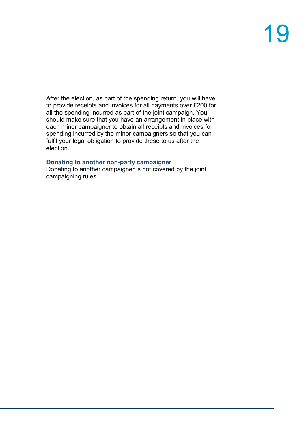After the election, as part of the spending return, you will have to provide receipts and invoices for all payments over £200 for all the spending incurred as part of the joint campaign. You should make sure that you have an arrangement in place with each minor campaigner to obtain all receipts and invoices for spending incurred by the minor campaigners so that you can fulfil your legal obligation to provide these to us after the election.

### **Donating to another non-party campaigner**

Donating to another campaigner is not covered by the joint campaigning rules.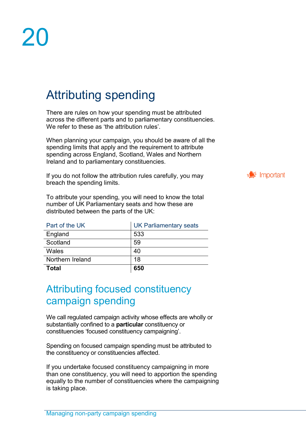### Attributing spending

There are rules on how your spending must be attributed across the different parts and to parliamentary constituencies. We refer to these as 'the attribution rules'.

When planning your campaign, you should be aware of all the spending limits that apply and the requirement to attribute spending across England, Scotland, Wales and Northern Ireland and to parliamentary constituencies.

If you do not follow the attribution rules carefully, you may breach the spending limits.

To attribute your spending, you will need to know the total number of UK Parliamentary seats and how these are distributed between the parts of the UK:

| Part of the UK   | UK Parliamentary seats |  |
|------------------|------------------------|--|
| England          | 533                    |  |
| Scotland         | 59                     |  |
| Wales            | 40                     |  |
| Northern Ireland | 18                     |  |
| <b>Total</b>     | 650                    |  |

### Attributing focused constituency campaign spending

We call regulated campaign activity whose effects are wholly or substantially confined to a **particular** constituency or constituencies 'focused constituency campaigning'.

Spending on focused campaign spending must be attributed to the constituency or constituencies affected.

If you undertake focused constituency campaigning in more than one constituency, you will need to apportion the spending equally to the number of constituencies where the campaigning is taking place.

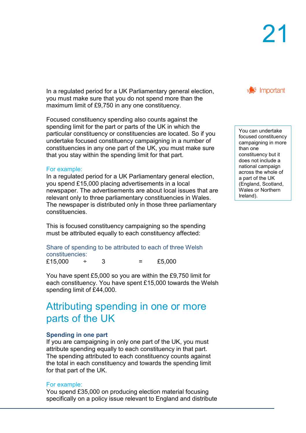In a regulated period for a UK Parliamentary general election, you must make sure that you do not spend more than the maximum limit of £9,750 in any one constituency.

Focused constituency spending also counts against the spending limit for the part or parts of the UK in which the particular constituency or constituencies are located. So if you undertake focused constituency campaigning in a number of constituencies in any one part of the UK, you must make sure that you stay within the spending limit for that part.

#### For example:

In a regulated period for a UK Parliamentary general election, you spend £15,000 placing advertisements in a local newspaper. The advertisements are about local issues that are relevant only to three parliamentary constituencies in Wales. The newspaper is distributed only in those three parliamentary constituencies.

This is focused constituency campaigning so the spending must be attributed equally to each constituency affected:

Share of spending to be attributed to each of three Welsh constituencies: £15,000 ÷ 3 = £5,000

You have spent £5,000 so you are within the £9,750 limit for each constituency. You have spent £15,000 towards the Welsh spending limit of £44,000.

### Attributing spending in one or more parts of the UK

#### **Spending in one part**

If you are campaigning in only one part of the UK, you must attribute spending equally to each constituency in that part. The spending attributed to each constituency counts against the total in each constituency and towards the spending limit for that part of the UK.

#### For example:

You spend £35,000 on producing election material focusing specifically on a policy issue relevant to England and distribute



You can undertake focused constituency campaigning in more than one constituency but it does not include a national campaign across the whole of a part of the UK (England, Scotland, Wales or Northern Ireland).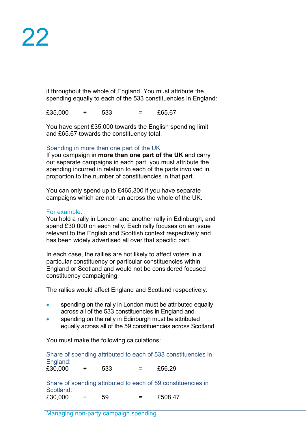it throughout the whole of England. You must attribute the spending equally to each of the 533 constituencies in England:

 $£35,000 \tdiv 533 = £65.67$ 

You have spent £35,000 towards the English spending limit and £65.67 towards the constituency total.

### Spending in more than one part of the UK

If you campaign in **more than one part of the UK** and carry out separate campaigns in each part, you must attribute the spending incurred in relation to each of the parts involved in proportion to the number of constituencies in that part.

You can only spend up to £465,300 if you have separate campaigns which are not run across the whole of the UK.

#### For example:

You hold a rally in London and another rally in Edinburgh, and spend £30,000 on each rally. Each rally focuses on an issue relevant to the English and Scottish context respectively and has been widely advertised all over that specific part.

In each case, the rallies are not likely to affect voters in a particular constituency or particular constituencies within England or Scotland and would not be considered focused constituency campaigning.

The rallies would affect England and Scotland respectively:

- spending on the rally in London must be attributed equally across all of the 533 constituencies in England and
- spending on the rally in Edinburgh must be attributed equally across all of the 59 constituencies across Scotland

You must make the following calculations:

Share of spending attributed to each of 533 constituencies in England:  $£30.000 + 533 = £56.29$ Share of spending attributed to each of 59 constituencies in Scotland:  $£30,000 \tdiv 59 = £508.47$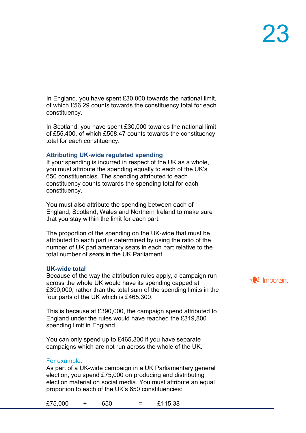In England, you have spent £30,000 towards the national limit, of which £56.29 counts towards the constituency total for each constituency.

In Scotland, you have spent £30,000 towards the national limit of £55,400, of which £508.47 counts towards the constituency total for each constituency.

#### **Attributing UK-wide regulated spending**

If your spending is incurred in respect of the UK as a whole, you must attribute the spending equally to each of the UK's 650 constituencies. The spending attributed to each constituency counts towards the spending total for each constituency.

You must also attribute the spending between each of England, Scotland, Wales and Northern Ireland to make sure that you stay within the limit for each part.

The proportion of the spending on the UK-wide that must be attributed to each part is determined by using the ratio of the number of UK parliamentary seats in each part relative to the total number of seats in the UK Parliament.

#### **UK-wide total**

Because of the way the attribution rules apply, a campaign run across the whole UK would have its spending capped at £390,000, rather than the total sum of the spending limits in the four parts of the UK which is £465,300.

This is because at £390,000, the campaign spend attributed to England under the rules would have reached the £319,800 spending limit in England.

You can only spend up to £465,300 if you have separate campaigns which are not run across the whole of the UK.

#### For example:

As part of a UK-wide campaign in a UK Parliamentary general election, you spend £75,000 on producing and distributing election material on social media. You must attribute an equal proportion to each of the UK's 650 constituencies:

£75,000 ÷ 650 = £115.38

 $\equiv$  Important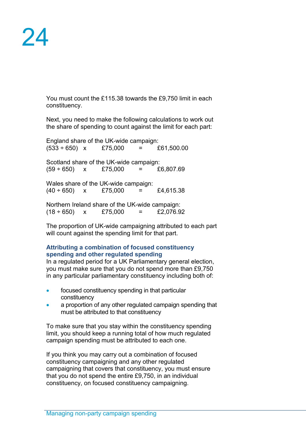You must count the £115.38 towards the £9,750 limit in each constituency.

Next, you need to make the following calculations to work out the share of spending to count against the limit for each part:

England share of the UK-wide campaign:  $(533 \div 650)$  x £75,000 = £61,500.00 Scotland share of the UK-wide campaign:  $(59 \div 650)$  x £75,000 = £6,807.69 Wales share of the UK-wide campaign:  $(40 \div 650)$  x £75,000 = £4,615.38 Northern Ireland share of the UK-wide campaign:<br>(18 ÷ 650)  $x = £75.000 = £2.076.92$  $(18 \div 650)$  x £75.000 =

The proportion of UK-wide campaigning attributed to each part will count against the spending limit for that part.

### **Attributing a combination of focused constituency spending and other regulated spending**

In a regulated period for a UK Parliamentary general election, you must make sure that you do not spend more than £9,750 in any particular parliamentary constituency including both of:

- focused constituency spending in that particular constituency
- a proportion of any other regulated campaign spending that must be attributed to that constituency

To make sure that you stay within the constituency spending limit, you should keep a running total of how much regulated campaign spending must be attributed to each one.

If you think you may carry out a combination of focused constituency campaigning and any other regulated campaigning that covers that constituency, you must ensure that you do not spend the entire £9,750, in an individual constituency, on focused constituency campaigning.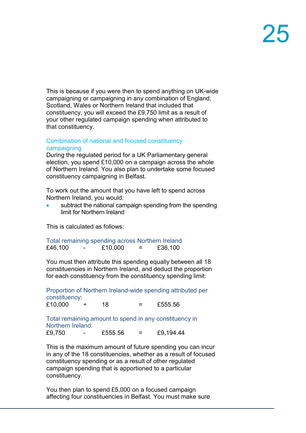This is because if you were then to spend anything on UK-wide campaigning or campaigning in any combination of England, Scotland, Wales or Northern Ireland that included that constituency, you will exceed the £9,750 limit as a result of your other regulated campaign spending when attributed to that constituency.

#### Combination of national and focused constituency campaigning

During the regulated period for a UK Parliamentary general election, you spend £10,000 on a campaign across the whole of Northern Ireland. You also plan to undertake some focused constituency campaigning in Belfast.

To work out the amount that you have left to spend across Northern Ireland, you would:

subtract the national campaign spending from the spending limit for Northern Ireland

This is calculated as follows:

| Total remaining spending across Northern Ireland |         |     |         |
|--------------------------------------------------|---------|-----|---------|
| £46,100<br>-                                     | £10,000 | $=$ | £36,100 |

You must then attribute this spending equally between all 18 constituencies in Northern Ireland, and deduct the proportion for each constituency from the constituency spending limit:

Proportion of Northern Ireland-wide spending attributed per constituency:

 $£10.000 \tdiv 18 = £555.56$ 

Total remaining amount to spend in any constituency in Northern Ireland:<br>£9,750 -

 $£555.56 = £9,194.44$ 

This is the maximum amount of future spending you can incur in any of the 18 constituencies, whether as a result of focused constituency spending or as a result of other regulated campaign spending that is apportioned to a particular constituency.

You then plan to spend £5,000 on a focused campaign affecting four constituencies in Belfast. You must make sure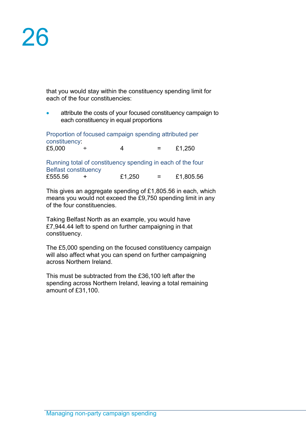that you would stay within the constituency spending limit for each of the four constituencies:

• attribute the costs of your focused constituency campaign to each constituency in equal proportions

Proportion of focused campaign spending attributed per constituency: £5,000  $\div$  4 = £1,250

Running total of constituency spending in each of the four Belfast constituency<br>£555.56 + £555.56 + £1,250 = £1,805.56

This gives an aggregate spending of £1,805.56 in each, which means you would not exceed the £9,750 spending limit in any of the four constituencies.

Taking Belfast North as an example, you would have £7,944.44 left to spend on further campaigning in that constituency.

The £5,000 spending on the focused constituency campaign will also affect what you can spend on further campaigning across Northern Ireland.

This must be subtracted from the £36,100 left after the spending across Northern Ireland, leaving a total remaining amount of £31,100.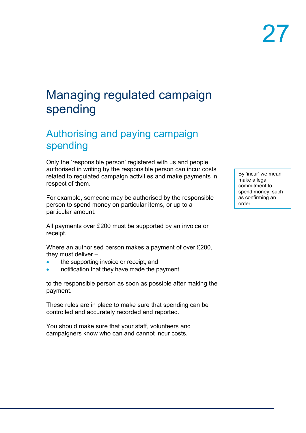### Managing regulated campaign spending

### Authorising and paying campaign spending

Only the 'responsible person' registered with us and people authorised in writing by the responsible person can incur costs related to regulated campaign activities and make payments in respect of them.

For example, someone may be authorised by the responsible person to spend money on particular items, or up to a particular amount.

All payments over £200 must be supported by an invoice or receipt.

Where an authorised person makes a payment of over £200, they must deliver –

- the supporting invoice or receipt, and
- notification that they have made the payment

to the responsible person as soon as possible after making the payment.

These rules are in place to make sure that spending can be controlled and accurately recorded and reported.

You should make sure that your staff, volunteers and campaigners know who can and cannot incur costs.

By 'incur' we mean make a legal commitment to spend money, such as confirming an order.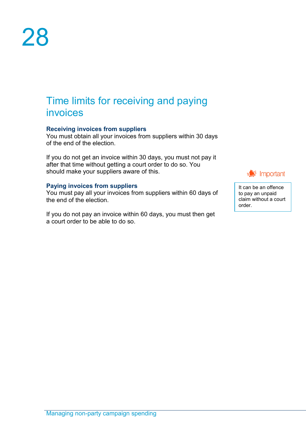### Time limits for receiving and paying invoices

#### **Receiving invoices from suppliers**

You must obtain all your invoices from suppliers within 30 days of the end of the election.

If you do not get an invoice within 30 days, you must not pay it after that time without getting a court order to do so. You should make your suppliers aware of this.

#### **Paying invoices from suppliers**

You must pay all your invoices from suppliers within 60 days of the end of the election.

If you do not pay an invoice within 60 days, you must then get a court order to be able to do so.



It can be an offence to pay an unpaid claim without a court order.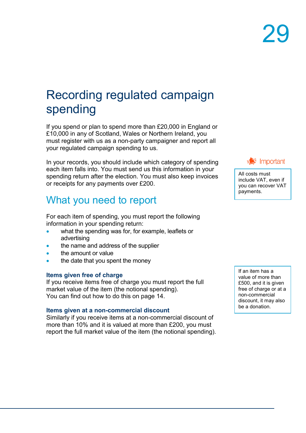### Recording regulated campaign spending

If you spend or plan to spend more than £20,000 in England or £10,000 in any of Scotland, Wales or Northern Ireland, you must register with us as a non-party campaigner and report all your regulated campaign spending to us.

In your records, you should include which category of spending each item falls into. You must send us this information in your spending return after the election. You must also keep invoices or receipts for any payments over £200.

### What you need to report

For each item of spending, you must report the following information in your spending return:

- what the spending was for, for example, leaflets or advertising
- the name and address of the supplier
- the amount or value
- the date that you spent the money

#### **Items given free of charge**

If you receive items free of charge you must report the full market value of the item (the notional spending). You can find out how to do this on page 14.

#### **Items given at a non-commercial discount**

Similarly if you receive items at a non-commercial discount of more than 10% and it is valued at more than £200, you must report the full market value of the item (the notional spending).



All costs must include VAT, even if you can recover VAT payments.

If an item has a value of more than £500, and it is given free of charge or at a non-commercial discount, it may also be a donation.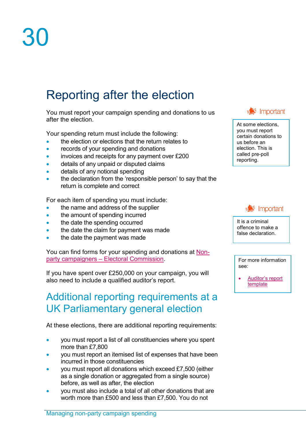### Reporting after the election

You must report your campaign spending and donations to us after the election.

Your spending return must include the following:

- the election or elections that the return relates to
- records of your spending and donations
- invoices and receipts for any payment over £200
- details of any unpaid or disputed claims
- details of any notional spending
- the declaration from the 'responsible person' to say that the return is complete and correct

For each item of spending you must include:

- the name and address of the supplier
- the amount of spending incurred
- the date the spending occurred
- the date the claim for payment was made
- the date the payment was made

You can find forms for your spending and donations at [Non](http://www.electoralcommission.org.uk/i-am-a/party-or-campaigner/non-party-campaigners)party campaigners – [Electoral Commission.](http://www.electoralcommission.org.uk/i-am-a/party-or-campaigner/non-party-campaigners)

If you have spent over £250,000 on your campaign, you will also need to include a qualified auditor's report.

### Additional reporting requirements at a UK Parliamentary general election

At these elections, there are additional reporting requirements:

- you must report a list of all constituencies where you spent more than £7,800
- you must report an itemised list of expenses that have been incurred in those constituencies
- you must report all donations which exceed £7,500 (either as a single donation or aggregated from a single source) before, as well as after, the election
- you must also include a total of all other donations that are worth more than £500 and less than £7,500. You do not



At some elections, you must report certain donations to us before an election. This is called pre-poll reporting.



It is a criminal offence to make a false declaration.

For more information see:

• [Auditor's report](https://www.electoralcommission.org.uk/media/5610)  [template](https://www.electoralcommission.org.uk/media/5610)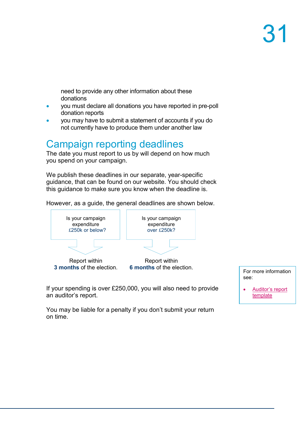need to provide any other information about these donations

- you must declare all donations you have reported in pre-poll donation reports
- you may have to submit a statement of accounts if you do not currently have to produce them under another law

### Campaign reporting deadlines

The date you must report to us by will depend on how much you spend on your campaign.

We publish these deadlines in our separate, year-specific guidance, that can be found on our website. You should check this guidance to make sure you know when the deadline is.

However, as a guide, the general deadlines are shown below.



**6 months** of the election.

If your spending is over £250,000, you will also need to provide an auditor's report.

see:

• [Auditor's report](https://www.electoralcommission.org.uk/media/5610)  [template](https://www.electoralcommission.org.uk/media/5610)

You may be liable for a penalty if you don't submit your return on time.